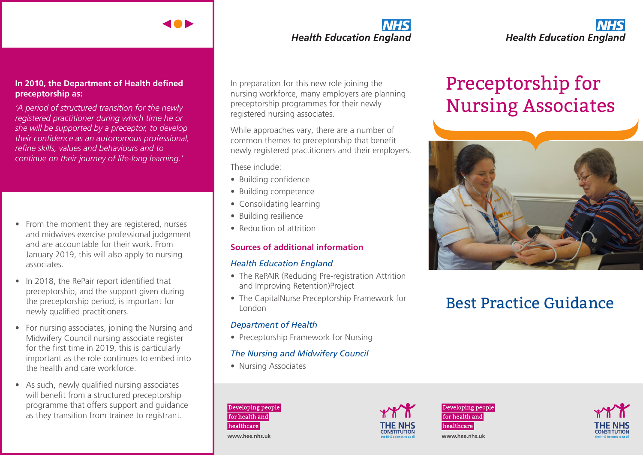#### **In 2010, the Department of Health defined preceptorship as:**

*'A period of structured transition for the newly registered practitioner during which time he or she will be supported by a preceptor, to develop their confidence as an autonomous professional, refine skills, values and behaviours and to continue on their journey of life-long learning.'*

- From the moment they are registered, nurses and midwives exercise professional judgement and are accountable for their work. From January 2019, this will also apply to nursing associates.
- In 2018, the RePair report identified that preceptorship, and the support given during the preceptorship period, is important for newly qualified practitioners.
- For nursing associates, joining the Nursing and Midwifery Council nursing associate register for the first time in 2019, this is particularly important as the role continues to embed into the health and care workforce.
- As such, newly qualified nursing associates will benefit from a structured preceptorship programme that offers support and guidance as they transition from trainee to registrant.

## **Health Education England**

In preparation for this new role joining the nursing workforce, many employers are planning preceptorship programmes for their newly registered nursing associates.

While approaches vary, there are a number of common themes to preceptorship that benefit newly registered practitioners and their employers.

These include:

- Building confidence
- Building competence
- Consolidating learning
- Building resilience
- Reduction of attrition

#### **Sources of additional information**

#### *Health Education England*

- The RePAIR (Reducing Pre-registration Attrition and Improving Retention)Project
- The CapitalNurse Preceptorship Framework for London

#### *Department of Health*

• Preceptorship Framework for Nursing

#### *The Nursing and Midwifery Council*

• Nursing Associates





**Health Education England** 

# Nursing Associates



## Best Practice Guidance







www.hee.nhs.uk